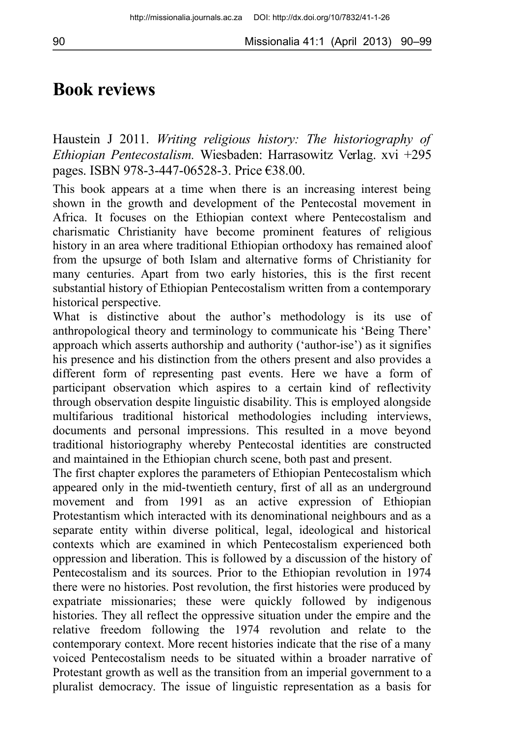## **Book reviews**

Haustein J 2011. *Writing religious history: The historiography of Ethiopian Pentecostalism.* Wiesbaden: Harrasowitz Verlag. xvi +295 pages. ISBN 978-3-447-06528-3. Price €38.00.

This book appears at a time when there is an increasing interest being shown in the growth and development of the Pentecostal movement in Africa. It focuses on the Ethiopian context where Pentecostalism and charismatic Christianity have become prominent features of religious history in an area where traditional Ethiopian orthodoxy has remained aloof from the upsurge of both Islam and alternative forms of Christianity for many centuries. Apart from two early histories, this is the first recent substantial history of Ethiopian Pentecostalism written from a contemporary historical perspective.

What is distinctive about the author's methodology is its use of anthropological theory and terminology to communicate his 'Being There' approach which asserts authorship and authority ('author-ise') as it signifies his presence and his distinction from the others present and also provides a different form of representing past events. Here we have a form of participant observation which aspires to a certain kind of reflectivity through observation despite linguistic disability. This is employed alongside multifarious traditional historical methodologies including interviews, documents and personal impressions. This resulted in a move beyond traditional historiography whereby Pentecostal identities are constructed and maintained in the Ethiopian church scene, both past and present.

The first chapter explores the parameters of Ethiopian Pentecostalism which appeared only in the mid-twentieth century, first of all as an underground movement and from 1991 as an active expression of Ethiopian Protestantism which interacted with its denominational neighbours and as a separate entity within diverse political, legal, ideological and historical contexts which are examined in which Pentecostalism experienced both oppression and liberation. This is followed by a discussion of the history of Pentecostalism and its sources. Prior to the Ethiopian revolution in 1974 there were no histories. Post revolution, the first histories were produced by expatriate missionaries; these were quickly followed by indigenous histories. They all reflect the oppressive situation under the empire and the relative freedom following the 1974 revolution and relate to the contemporary context. More recent histories indicate that the rise of a many voiced Pentecostalism needs to be situated within a broader narrative of Protestant growth as well as the transition from an imperial government to a pluralist democracy. The issue of linguistic representation as a basis for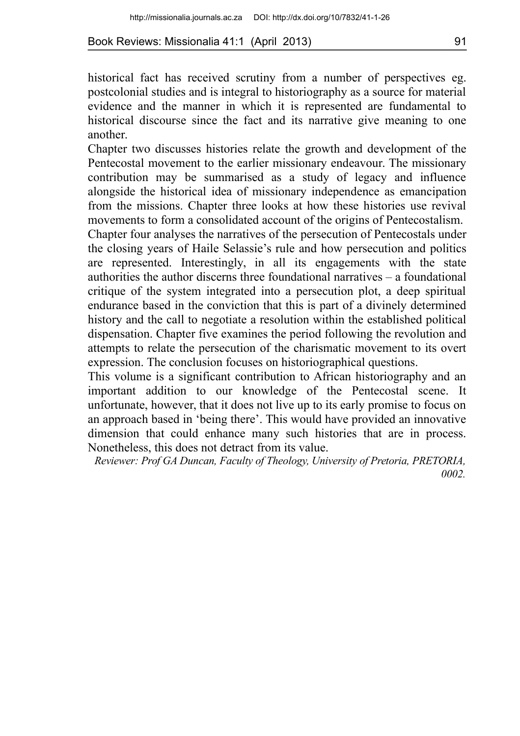historical fact has received scrutiny from a number of perspectives eg. postcolonial studies and is integral to historiography as a source for material evidence and the manner in which it is represented are fundamental to historical discourse since the fact and its narrative give meaning to one another.

Chapter two discusses histories relate the growth and development of the Pentecostal movement to the earlier missionary endeavour. The missionary contribution may be summarised as a study of legacy and influence alongside the historical idea of missionary independence as emancipation from the missions. Chapter three looks at how these histories use revival movements to form a consolidated account of the origins of Pentecostalism.

Chapter four analyses the narratives of the persecution of Pentecostals under the closing years of Haile Selassie's rule and how persecution and politics are represented. Interestingly, in all its engagements with the state authorities the author discerns three foundational narratives – a foundational critique of the system integrated into a persecution plot, a deep spiritual endurance based in the conviction that this is part of a divinely determined history and the call to negotiate a resolution within the established political dispensation. Chapter five examines the period following the revolution and attempts to relate the persecution of the charismatic movement to its overt expression. The conclusion focuses on historiographical questions.

This volume is a significant contribution to African historiography and an important addition to our knowledge of the Pentecostal scene. It unfortunate, however, that it does not live up to its early promise to focus on an approach based in 'being there'. This would have provided an innovative dimension that could enhance many such histories that are in process. Nonetheless, this does not detract from its value.

*Reviewer: Prof GA Duncan, Faculty of Theology, University of Pretoria, PRETORIA, 0002.*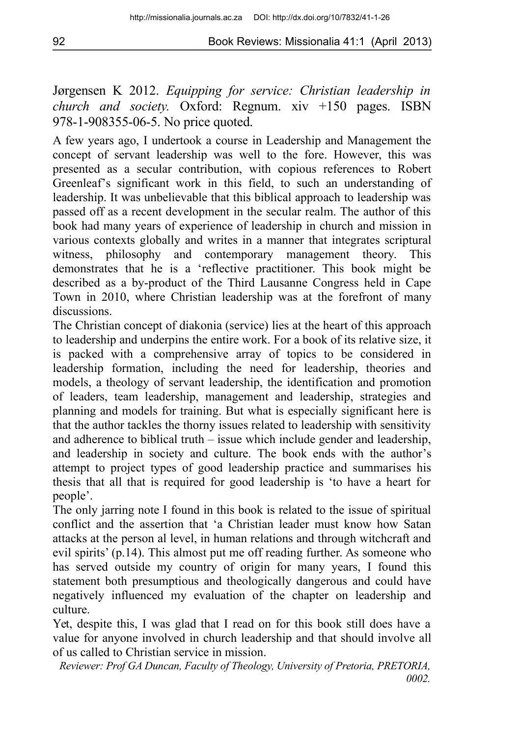Jørgensen K 2012. *Equipping for service: Christian leadership in church and society.* Oxford: Regnum. xiv +150 pages. ISBN 978-1-908355-06-5. No price quoted.

A few years ago, I undertook a course in Leadership and Management the concept of servant leadership was well to the fore. However, this was presented as a secular contribution, with copious references to Robert Greenleaf's significant work in this field, to such an understanding of leadership. It was unbelievable that this biblical approach to leadership was passed off as a recent development in the secular realm. The author of this book had many years of experience of leadership in church and mission in various contexts globally and writes in a manner that integrates scriptural witness, philosophy and contemporary management theory. This demonstrates that he is a 'reflective practitioner. This book might be described as a by-product of the Third Lausanne Congress held in Cape Town in 2010, where Christian leadership was at the forefront of many discussions.

The Christian concept of diakonia (service) lies at the heart of this approach to leadership and underpins the entire work. For a book of its relative size, it is packed with a comprehensive array of topics to be considered in leadership formation, including the need for leadership, theories and models, a theology of servant leadership, the identification and promotion of leaders, team leadership, management and leadership, strategies and planning and models for training. But what is especially significant here is that the author tackles the thorny issues related to leadership with sensitivity and adherence to biblical truth – issue which include gender and leadership, and leadership in society and culture. The book ends with the author's attempt to project types of good leadership practice and summarises his thesis that all that is required for good leadership is 'to have a heart for people'.

The only jarring note I found in this book is related to the issue of spiritual conflict and the assertion that 'a Christian leader must know how Satan attacks at the person al level, in human relations and through witchcraft and evil spirits' (p.14). This almost put me off reading further. As someone who has served outside my country of origin for many years, I found this statement both presumptious and theologically dangerous and could have negatively influenced my evaluation of the chapter on leadership and culture.

Yet, despite this, I was glad that I read on for this book still does have a value for anyone involved in church leadership and that should involve all of us called to Christian service in mission.

*Reviewer: Prof GA Duncan, Faculty of Theology, University of Pretoria, PRETORIA, 0002.*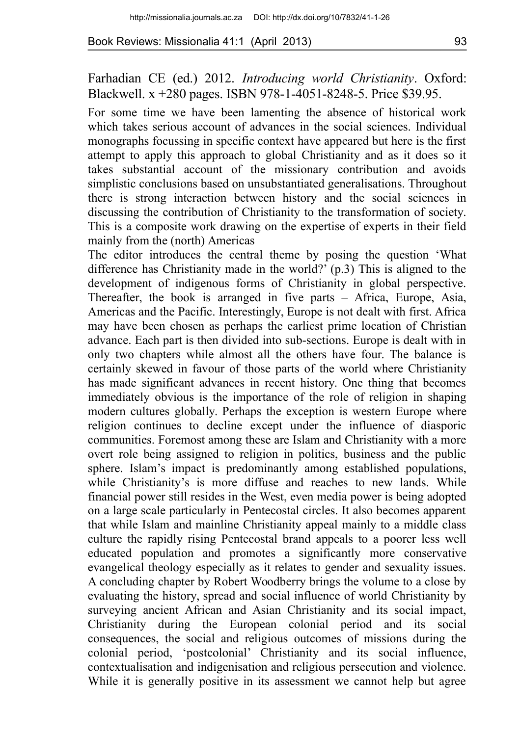## Farhadian CE (ed.) 2012. *Introducing world Christianity*. Oxford: Blackwell. x +280 pages. ISBN 978-1-4051-8248-5. Price \$39.95.

For some time we have been lamenting the absence of historical work which takes serious account of advances in the social sciences. Individual monographs focussing in specific context have appeared but here is the first attempt to apply this approach to global Christianity and as it does so it takes substantial account of the missionary contribution and avoids simplistic conclusions based on unsubstantiated generalisations. Throughout there is strong interaction between history and the social sciences in discussing the contribution of Christianity to the transformation of society. This is a composite work drawing on the expertise of experts in their field mainly from the (north) Americas

The editor introduces the central theme by posing the question 'What difference has Christianity made in the world?' (p.3) This is aligned to the development of indigenous forms of Christianity in global perspective. Thereafter, the book is arranged in five parts – Africa, Europe, Asia, Americas and the Pacific. Interestingly, Europe is not dealt with first. Africa may have been chosen as perhaps the earliest prime location of Christian advance. Each part is then divided into sub-sections. Europe is dealt with in only two chapters while almost all the others have four. The balance is certainly skewed in favour of those parts of the world where Christianity has made significant advances in recent history. One thing that becomes immediately obvious is the importance of the role of religion in shaping modern cultures globally. Perhaps the exception is western Europe where religion continues to decline except under the influence of diasporic communities. Foremost among these are Islam and Christianity with a more overt role being assigned to religion in politics, business and the public sphere. Islam's impact is predominantly among established populations, while Christianity's is more diffuse and reaches to new lands. While financial power still resides in the West, even media power is being adopted on a large scale particularly in Pentecostal circles. It also becomes apparent that while Islam and mainline Christianity appeal mainly to a middle class culture the rapidly rising Pentecostal brand appeals to a poorer less well educated population and promotes a significantly more conservative evangelical theology especially as it relates to gender and sexuality issues. A concluding chapter by Robert Woodberry brings the volume to a close by evaluating the history, spread and social influence of world Christianity by surveying ancient African and Asian Christianity and its social impact, Christianity during the European colonial period and its social consequences, the social and religious outcomes of missions during the colonial period, 'postcolonial' Christianity and its social influence, contextualisation and indigenisation and religious persecution and violence. While it is generally positive in its assessment we cannot help but agree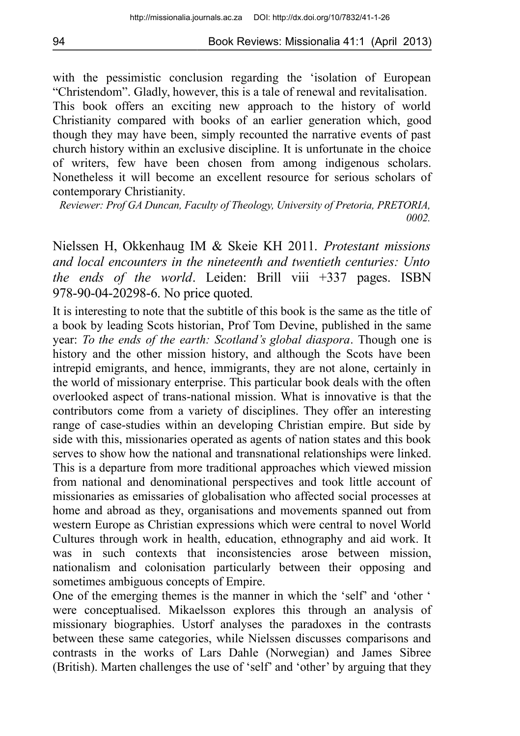with the pessimistic conclusion regarding the 'isolation of European "Christendom". Gladly, however, this is a tale of renewal and revitalisation. This book offers an exciting new approach to the history of world Christianity compared with books of an earlier generation which, good though they may have been, simply recounted the narrative events of past church history within an exclusive discipline. It is unfortunate in the choice of writers, few have been chosen from among indigenous scholars. Nonetheless it will become an excellent resource for serious scholars of contemporary Christianity.

*Reviewer: Prof GA Duncan, Faculty of Theology, University of Pretoria, PRETORIA, 0002.*

Nielssen H, Okkenhaug IM & Skeie KH 2011. *Protestant missions and local encounters in the nineteenth and twentieth centuries: Unto the ends of the world*. Leiden: Brill viii +337 pages. ISBN 978-90-04-20298-6. No price quoted.

It is interesting to note that the subtitle of this book is the same as the title of a book by leading Scots historian, Prof Tom Devine, published in the same year: *To the ends of the earth: Scotland's global diaspora*. Though one is history and the other mission history, and although the Scots have been intrepid emigrants, and hence, immigrants, they are not alone, certainly in the world of missionary enterprise. This particular book deals with the often overlooked aspect of trans-national mission. What is innovative is that the contributors come from a variety of disciplines. They offer an interesting range of case-studies within an developing Christian empire. But side by side with this, missionaries operated as agents of nation states and this book serves to show how the national and transnational relationships were linked. This is a departure from more traditional approaches which viewed mission from national and denominational perspectives and took little account of missionaries as emissaries of globalisation who affected social processes at home and abroad as they, organisations and movements spanned out from western Europe as Christian expressions which were central to novel World Cultures through work in health, education, ethnography and aid work. It was in such contexts that inconsistencies arose between mission, nationalism and colonisation particularly between their opposing and sometimes ambiguous concepts of Empire.

One of the emerging themes is the manner in which the 'self' and 'other ' were conceptualised. Mikaelsson explores this through an analysis of missionary biographies. Ustorf analyses the paradoxes in the contrasts between these same categories, while Nielssen discusses comparisons and contrasts in the works of Lars Dahle (Norwegian) and James Sibree (British). Marten challenges the use of 'self' and 'other' by arguing that they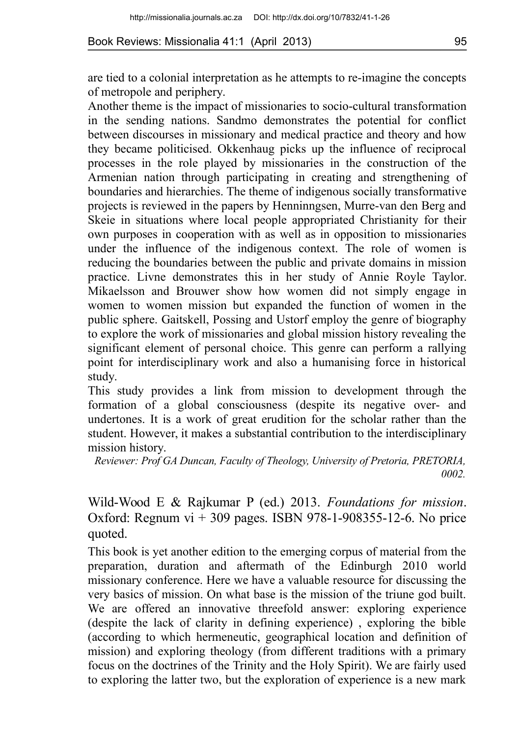are tied to a colonial interpretation as he attempts to re-imagine the concepts of metropole and periphery.

Another theme is the impact of missionaries to socio-cultural transformation in the sending nations. Sandmo demonstrates the potential for conflict between discourses in missionary and medical practice and theory and how they became politicised. Okkenhaug picks up the influence of reciprocal processes in the role played by missionaries in the construction of the Armenian nation through participating in creating and strengthening of boundaries and hierarchies. The theme of indigenous socially transformative projects is reviewed in the papers by Henninngsen, Murre-van den Berg and Skeie in situations where local people appropriated Christianity for their own purposes in cooperation with as well as in opposition to missionaries under the influence of the indigenous context. The role of women is reducing the boundaries between the public and private domains in mission practice. Livne demonstrates this in her study of Annie Royle Taylor. Mikaelsson and Brouwer show how women did not simply engage in women to women mission but expanded the function of women in the public sphere. Gaitskell, Possing and Ustorf employ the genre of biography to explore the work of missionaries and global mission history revealing the significant element of personal choice. This genre can perform a rallying point for interdisciplinary work and also a humanising force in historical study.

This study provides a link from mission to development through the formation of a global consciousness (despite its negative over- and undertones. It is a work of great erudition for the scholar rather than the student. However, it makes a substantial contribution to the interdisciplinary mission history.

*Reviewer: Prof GA Duncan, Faculty of Theology, University of Pretoria, PRETORIA, 0002.*

Wild-Wood E & Rajkumar P (ed.) 2013. *Foundations for mission*. Oxford: Regnum  $vi + 309$  pages. ISBN 978-1-908355-12-6. No price quoted.

This book is yet another edition to the emerging corpus of material from the preparation, duration and aftermath of the Edinburgh 2010 world missionary conference. Here we have a valuable resource for discussing the very basics of mission. On what base is the mission of the triune god built. We are offered an innovative threefold answer: exploring experience (despite the lack of clarity in defining experience) , exploring the bible (according to which hermeneutic, geographical location and definition of mission) and exploring theology (from different traditions with a primary focus on the doctrines of the Trinity and the Holy Spirit). We are fairly used to exploring the latter two, but the exploration of experience is a new mark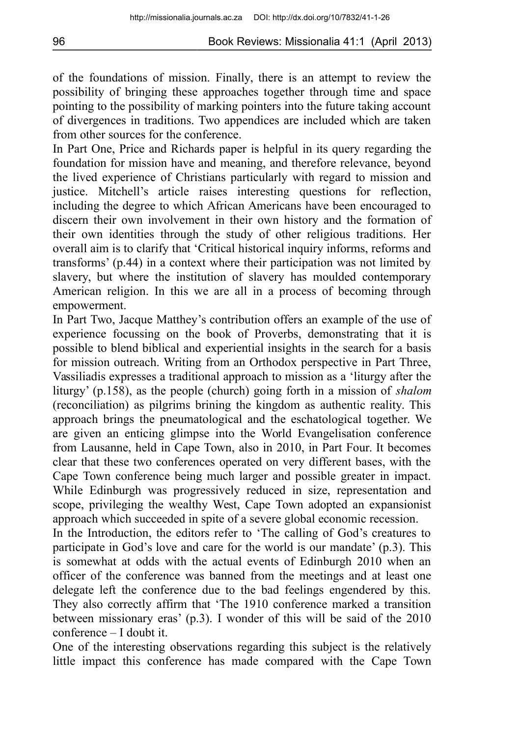of the foundations of mission. Finally, there is an attempt to review the possibility of bringing these approaches together through time and space pointing to the possibility of marking pointers into the future taking account of divergences in traditions. Two appendices are included which are taken from other sources for the conference.

In Part One, Price and Richards paper is helpful in its query regarding the foundation for mission have and meaning, and therefore relevance, beyond the lived experience of Christians particularly with regard to mission and justice. Mitchell's article raises interesting questions for reflection, including the degree to which African Americans have been encouraged to discern their own involvement in their own history and the formation of their own identities through the study of other religious traditions. Her overall aim is to clarify that 'Critical historical inquiry informs, reforms and transforms' (p.44) in a context where their participation was not limited by slavery, but where the institution of slavery has moulded contemporary American religion. In this we are all in a process of becoming through empowerment.

In Part Two, Jacque Matthey's contribution offers an example of the use of experience focussing on the book of Proverbs, demonstrating that it is possible to blend biblical and experiential insights in the search for a basis for mission outreach. Writing from an Orthodox perspective in Part Three, Vassiliadis expresses a traditional approach to mission as a 'liturgy after the liturgy' (p.158), as the people (church) going forth in a mission of *shalom* (reconciliation) as pilgrims brining the kingdom as authentic reality. This approach brings the pneumatological and the eschatological together. We are given an enticing glimpse into the World Evangelisation conference from Lausanne, held in Cape Town, also in 2010, in Part Four. It becomes clear that these two conferences operated on very different bases, with the Cape Town conference being much larger and possible greater in impact. While Edinburgh was progressively reduced in size, representation and scope, privileging the wealthy West, Cape Town adopted an expansionist approach which succeeded in spite of a severe global economic recession.

In the Introduction, the editors refer to 'The calling of God's creatures to participate in God's love and care for the world is our mandate' (p.3). This is somewhat at odds with the actual events of Edinburgh 2010 when an officer of the conference was banned from the meetings and at least one delegate left the conference due to the bad feelings engendered by this. They also correctly affirm that 'The 1910 conference marked a transition between missionary eras' (p.3). I wonder of this will be said of the 2010 conference – I doubt it.

One of the interesting observations regarding this subject is the relatively little impact this conference has made compared with the Cape Town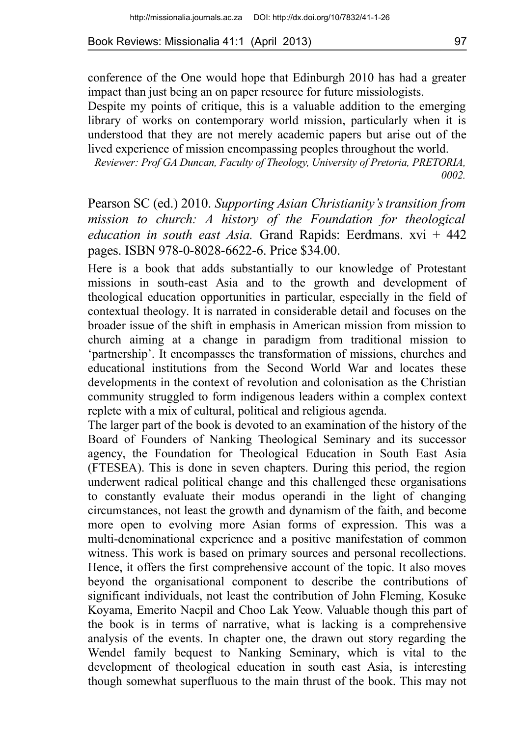conference of the One would hope that Edinburgh 2010 has had a greater impact than just being an on paper resource for future missiologists.

Despite my points of critique, this is a valuable addition to the emerging library of works on contemporary world mission, particularly when it is understood that they are not merely academic papers but arise out of the lived experience of mission encompassing peoples throughout the world.

*Reviewer: Prof GA Duncan, Faculty of Theology, University of Pretoria, PRETORIA, 0002.*

Pearson SC (ed.) 2010. *Supporting Asian Christianity's transition from mission to church: A history of the Foundation for theological education in south east Asia.* Grand Rapids: Eerdmans. xvi + 442 pages. ISBN 978-0-8028-6622-6. Price \$34.00.

Here is a book that adds substantially to our knowledge of Protestant missions in south-east Asia and to the growth and development of theological education opportunities in particular, especially in the field of contextual theology. It is narrated in considerable detail and focuses on the broader issue of the shift in emphasis in American mission from mission to church aiming at a change in paradigm from traditional mission to 'partnership'. It encompasses the transformation of missions, churches and educational institutions from the Second World War and locates these developments in the context of revolution and colonisation as the Christian community struggled to form indigenous leaders within a complex context replete with a mix of cultural, political and religious agenda.

The larger part of the book is devoted to an examination of the history of the Board of Founders of Nanking Theological Seminary and its successor agency, the Foundation for Theological Education in South East Asia (FTESEA). This is done in seven chapters. During this period, the region underwent radical political change and this challenged these organisations to constantly evaluate their modus operandi in the light of changing circumstances, not least the growth and dynamism of the faith, and become more open to evolving more Asian forms of expression. This was a multi-denominational experience and a positive manifestation of common witness. This work is based on primary sources and personal recollections. Hence, it offers the first comprehensive account of the topic. It also moves beyond the organisational component to describe the contributions of significant individuals, not least the contribution of John Fleming, Kosuke Koyama, Emerito Nacpil and Choo Lak Yeow. Valuable though this part of the book is in terms of narrative, what is lacking is a comprehensive analysis of the events. In chapter one, the drawn out story regarding the Wendel family bequest to Nanking Seminary, which is vital to the development of theological education in south east Asia, is interesting though somewhat superfluous to the main thrust of the book. This may not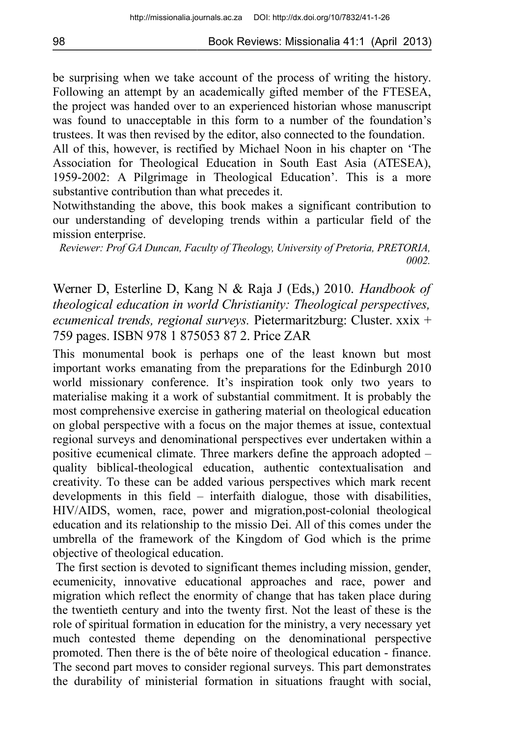be surprising when we take account of the process of writing the history. Following an attempt by an academically gifted member of the FTESEA, the project was handed over to an experienced historian whose manuscript was found to unacceptable in this form to a number of the foundation's trustees. It was then revised by the editor, also connected to the foundation.

All of this, however, is rectified by Michael Noon in his chapter on 'The Association for Theological Education in South East Asia (ATESEA), 1959-2002: A Pilgrimage in Theological Education'. This is a more substantive contribution than what precedes it.

Notwithstanding the above, this book makes a significant contribution to our understanding of developing trends within a particular field of the mission enterprise.

*Reviewer: Prof GA Duncan, Faculty of Theology, University of Pretoria, PRETORIA, 0002.*

Werner D, Esterline D, Kang N & Raja J (Eds,) 2010. *Handbook of theological education in world Christianity: Theological perspectives, ecumenical trends, regional surveys.* Pietermaritzburg: Cluster. xxix + 759 pages. ISBN 978 1 875053 87 2. Price ZAR

This monumental book is perhaps one of the least known but most important works emanating from the preparations for the Edinburgh 2010 world missionary conference. It's inspiration took only two years to materialise making it a work of substantial commitment. It is probably the most comprehensive exercise in gathering material on theological education on global perspective with a focus on the major themes at issue, contextual regional surveys and denominational perspectives ever undertaken within a positive ecumenical climate. Three markers define the approach adopted – quality biblical-theological education, authentic contextualisation and creativity. To these can be added various perspectives which mark recent developments in this field – interfaith dialogue, those with disabilities, HIV/AIDS, women, race, power and migration,post-colonial theological education and its relationship to the missio Dei. All of this comes under the umbrella of the framework of the Kingdom of God which is the prime objective of theological education.

 The first section is devoted to significant themes including mission, gender, ecumenicity, innovative educational approaches and race, power and migration which reflect the enormity of change that has taken place during the twentieth century and into the twenty first. Not the least of these is the role of spiritual formation in education for the ministry, a very necessary yet much contested theme depending on the denominational perspective promoted. Then there is the of bête noire of theological education - finance. The second part moves to consider regional surveys. This part demonstrates the durability of ministerial formation in situations fraught with social,